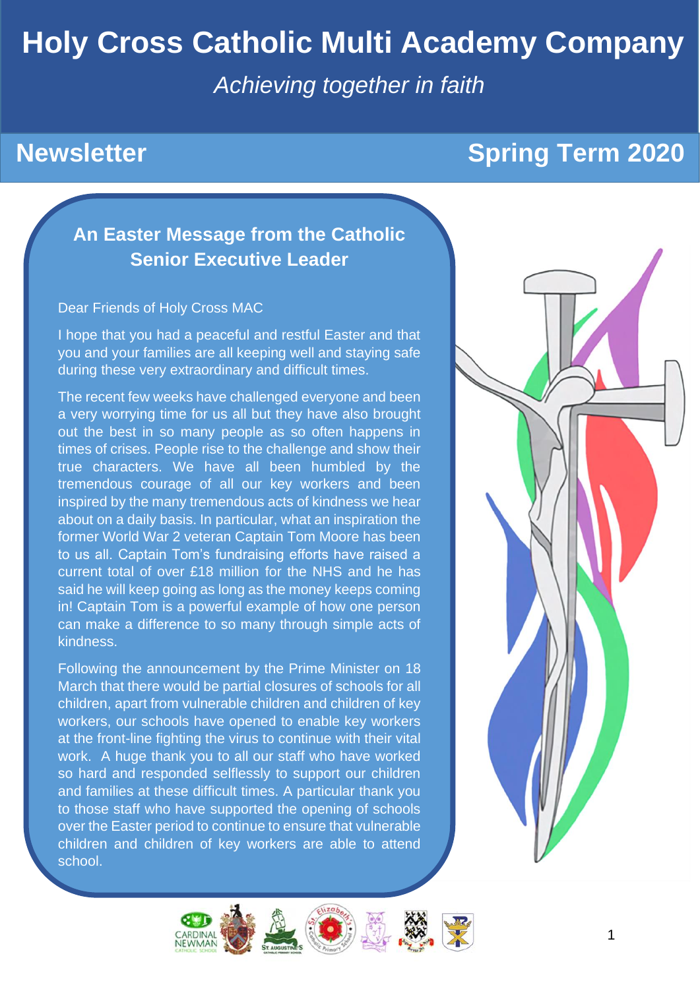# **Holy Cross Catholic Multi Academy Company**

*Achieving together in faith*

## **Newsletter Spring Term 2020**

## **An Easter Message from the Catholic Senior Executive Leader**

#### Dear Friends of Holy Cross MAC

I hope that you had a peaceful and restful Easter and that you and your families are all keeping well and staying safe during these very extraordinary and difficult times.

The recent few weeks have challenged everyone and been a very worrying time for us all but they have also brought out the best in so many people as so often happens in times of crises. People rise to the challenge and show their true characters. We have all been humbled by the tremendous courage of all our key workers and been inspired by the many tremendous acts of kindness we hear about on a daily basis. In particular, what an inspiration the former World War 2 veteran Captain Tom Moore has been to us all. Captain Tom's fundraising efforts have raised a current total of over £18 million for the NHS and he has said he will keep going as long as the money keeps coming in! Captain Tom is a powerful example of how one person can make a difference to so many through simple acts of kindness.

Following the announcement by the Prime Minister on 18 March that there would be partial closures of schools for all children, apart from vulnerable children and children of key workers, our schools have opened to enable key workers at the front-line fighting the virus to continue with their vital work. A huge thank you to all our staff who have worked so hard and responded selflessly to support our children and families at these difficult times. A particular thank you to those staff who have supported the opening of schools over the Easter period to continue to ensure that vulnerable children and children of key workers are able to attend school.



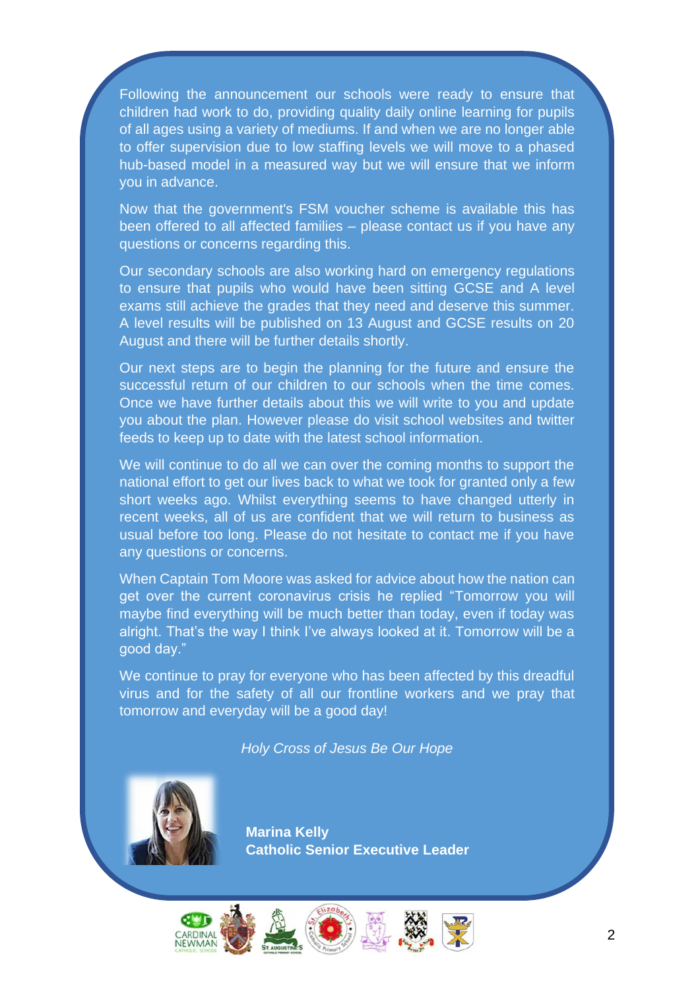Following the announcement our schools were ready to ensure that children had work to do, providing quality daily online learning for pupils of all ages using a variety of mediums. If and when we are no longer able to offer supervision due to low staffing levels we will move to a phased hub-based model in a measured way but we will ensure that we inform you in advance.

Now that the government's FSM voucher scheme is available this has been offered to all affected families – please contact us if you have any questions or concerns regarding this.

Our secondary schools are also working hard on emergency regulations to ensure that pupils who would have been sitting GCSE and A level exams still achieve the grades that they need and deserve this summer. A level results will be published on 13 August and GCSE results on 20 August and there will be further details shortly.

Our next steps are to begin the planning for the future and ensure the successful return of our children to our schools when the time comes. Once we have further details about this we will write to you and update you about the plan. However please do visit school websites and twitter feeds to keep up to date with the latest school information.

We will continue to do all we can over the coming months to support the national effort to get our lives back to what we took for granted only a few short weeks ago. Whilst everything seems to have changed utterly in recent weeks, all of us are confident that we will return to business as usual before too long. Please do not hesitate to contact me if you have any questions or concerns.

When Captain Tom Moore was asked for advice about how the nation can get over the current coronavirus crisis he replied "Tomorrow you will maybe find everything will be much better than today, even if today was alright. That's the way I think I've always looked at it. Tomorrow will be a good day."

We continue to pray for everyone who has been affected by this dreadful virus and for the safety of all our frontline workers and we pray that tomorrow and everyday will be a good day!

*Holy Cross of Jesus Be Our Hope*



**Marina Kelly Catholic Senior Executive Leader**

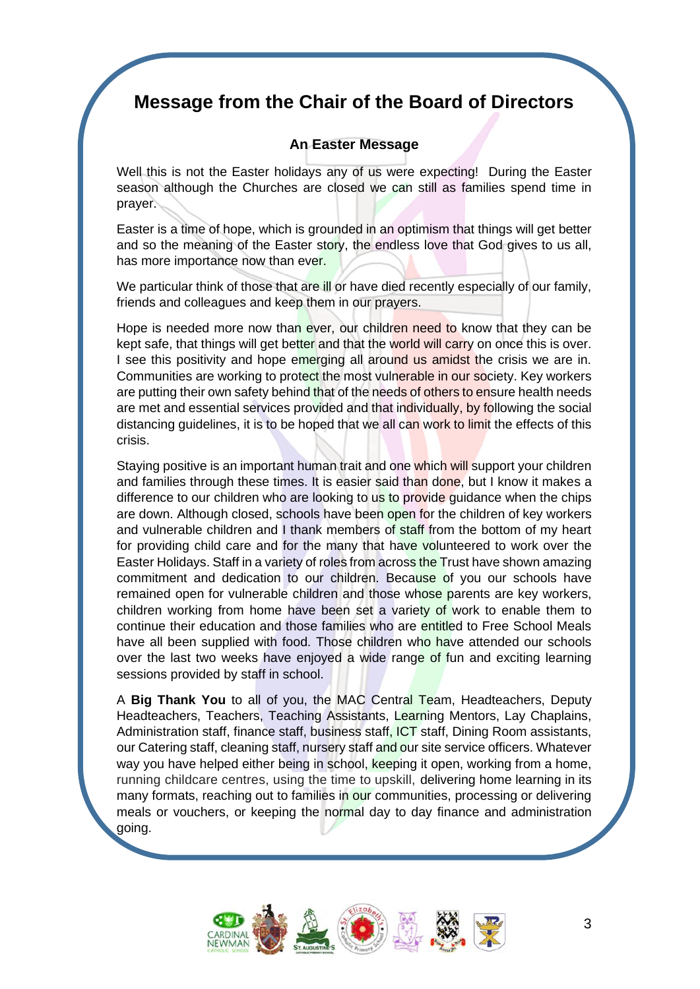## **Message from the Chair of the Board of Directors**

### **An Easter Message**

Well this is not the Easter holidays any of us were expecting! During the Easter season although the Churches are closed we can still as families spend time in prayer.

Easter is a time of hope, which is grounded in an optimism that things will get better and so the meaning of the Easter story, the endless love that God gives to us all, has more importance now than ever.

We particular think of those that are ill or have died recently especially of our family, friends and colleagues and keep them in our prayers.

Hope is needed more now than ever, our children need to know that they can be kept safe, that things will get better and that the world will carry on once this is over. I see this positivity and hope emerging all around us amidst the crisis we are in. Communities are working to protect the most vulnerable in our society. Key workers are putting their own safety behind that of the needs of others to ensure health needs are met and essential services provided and that individually, by following the social distancing guidelines, it is to be hoped that we all can work to limit the effects of this crisis.

Staying positive is an important human trait and one which will support your children and families through these times. It is easier said than done, but I know it makes a difference to our children who are looking to us to provide guidance when the chips are down. Although closed, schools have been open for the children of key workers and vulnerable children and I thank members of staff from the bottom of my heart for providing child care and for the many that have volunteered to work over the Easter Holidays. Staff in a variety of roles from across the Trust have shown amazing commitment and dedication to our children. Because of you our schools have remained open for vulnerable children and those whose parents are key workers, children working from home have been set a variety of work to enable them to continue their education and those families who are entitled to Free School Meals have all been supplied with food. Those children who have attended our schools over the last two weeks have enjoyed a wide range of fun and exciting learning sessions provided by staff in school.

A **Big Thank You** to all of you, the MAC Central Team, Headteachers, Deputy Headteachers, Teachers, Teaching Assistants, Learning Mentors, Lay Chaplains, Administration staff, finance staff, business staff, ICT staff, Dining Room assistants, our Catering staff, cleaning staff, nursery staff and our site service officers. Whatever way you have helped either being in school, keeping it open, working from a home, running childcare centres, using the time to upskill, delivering home learning in its many formats, reaching out to families in our communities, processing or delivering meals or vouchers, or keeping the normal day to day finance and administration going.

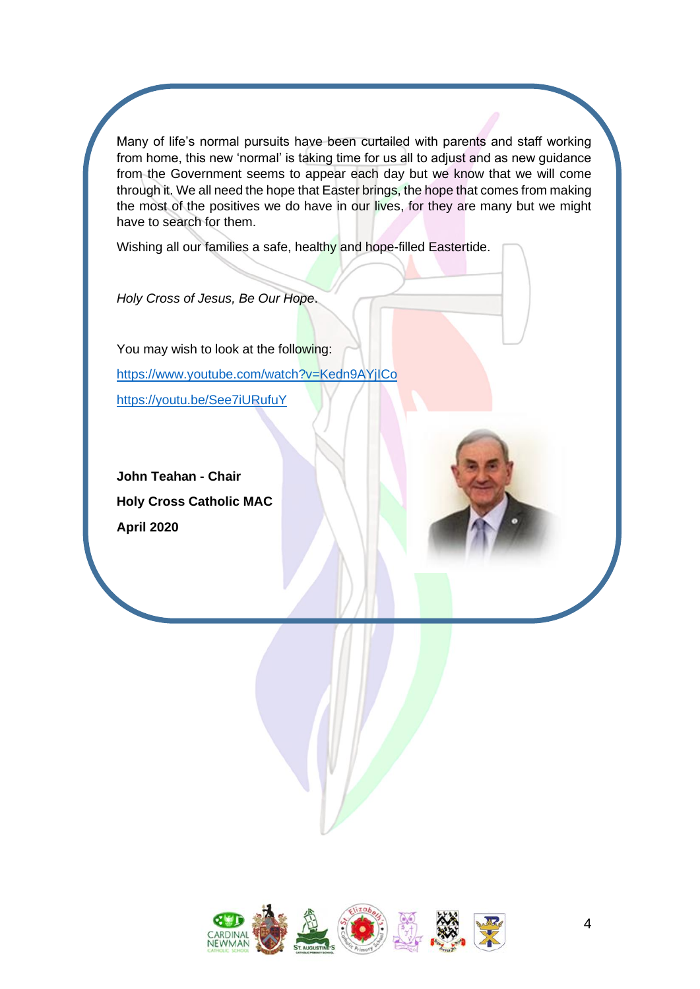Many of life's normal pursuits have been curtailed with parents and staff working from home, this new 'normal' is taking time for us all to adjust and as new guidance from the Government seems to appear each day but we know that we will come through it. We all need the hope that Easter brings, the hope that comes from making the most of the positives we do have in our lives, for they are many but we might have to search for them.

Wishing all our families a safe, healthy and hope-filled Eastertide.

*Holy Cross of Jesus, Be Our Hope*.

You may wish to look at the following: <https://www.youtube.com/watch?v=Kedn9AYjICo> <https://youtu.be/See7iURufuY>

**John Teahan - Chair Holy Cross Catholic MAC April 2020**

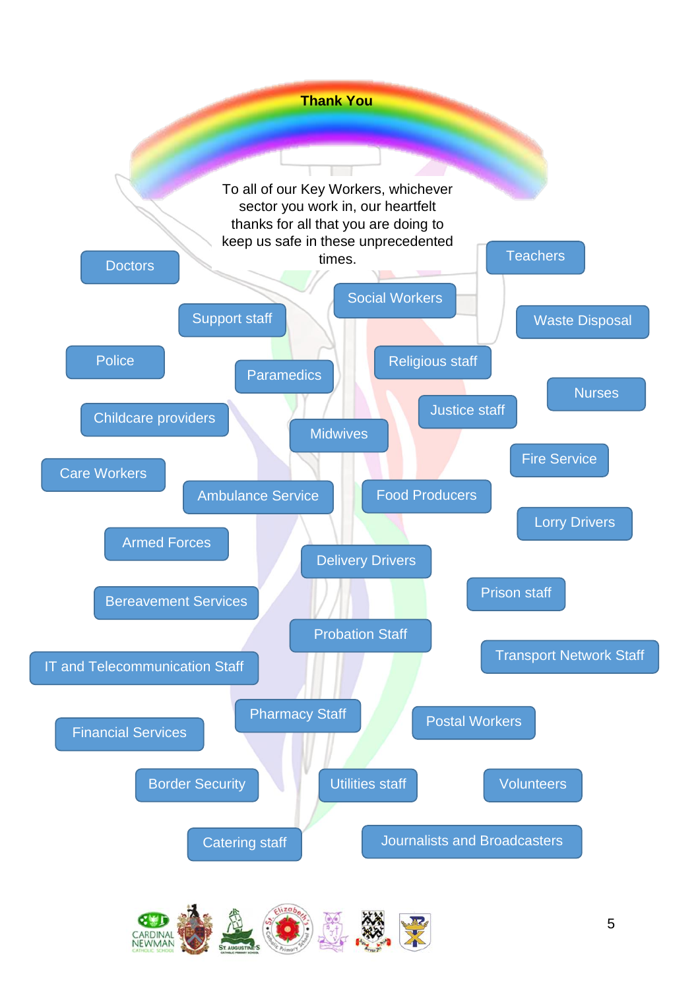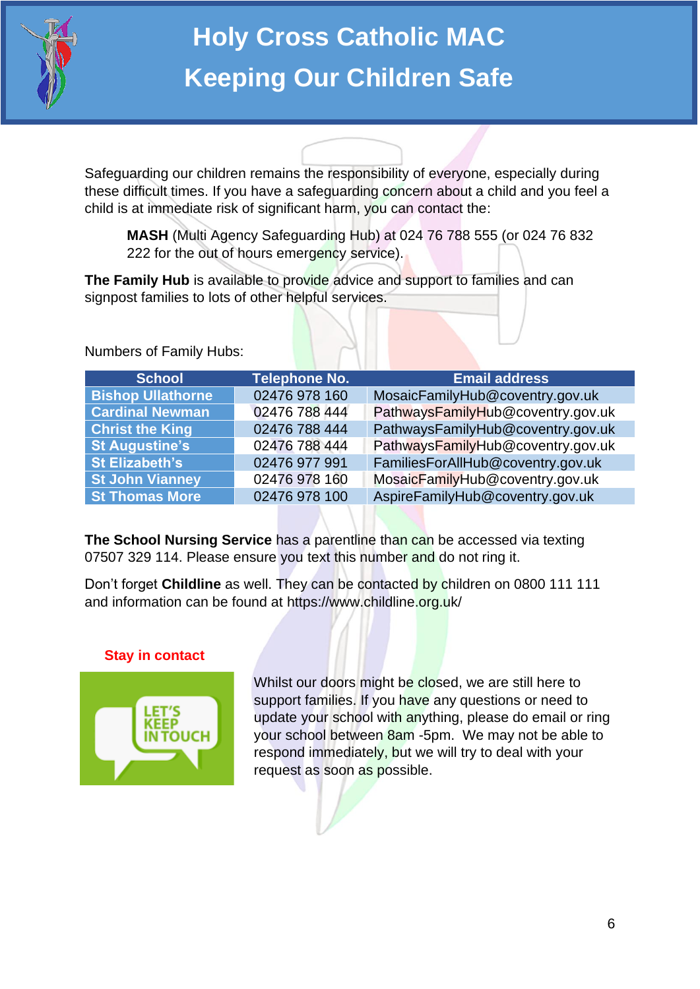

# **Holy Cross Catholic MAC Keeping Our Children Safe**

Safeguarding our children remains the responsibility of everyone, especially during these difficult times. If you have a safeguarding concern about a child and you feel a child is at immediate risk of significant harm, you can contact the:

**MASH** (Multi Agency Safeguarding Hub) at 024 76 788 555 (or 024 76 832 222 for the out of hours emergency service).

**The Family Hub** is available to provide advice and support to families and can signpost families to lots of other helpful services.

Numbers of Family Hubs:

| <b>School</b>            | <b>Telephone No.</b> | <b>Email address</b>              |
|--------------------------|----------------------|-----------------------------------|
| <b>Bishop Ullathorne</b> | 02476 978 160        | MosaicFamilyHub@coventry.gov.uk   |
| <b>Cardinal Newman</b>   | 02476 788 444        | PathwaysFamilyHub@coventry.gov.uk |
| <b>Christ the King</b>   | 02476 788 444        | PathwaysFamilyHub@coventry.gov.uk |
| <b>St Augustine's</b>    | 02476 788 444        | PathwaysFamilyHub@coventry.gov.uk |
| <b>St Elizabeth's</b>    | 02476 977 991        | FamiliesForAllHub@coventry.gov.uk |
| <b>St John Vianney</b>   | 02476 978 160        | MosaicFamilyHub@coventry.gov.uk   |
| <b>St Thomas More</b>    | 02476 978 100        | AspireFamilyHub@coventry.gov.uk   |

**The School Nursing Service** has a parentline than can be accessed via texting 07507 329 114. Please ensure you text this number and do not ring it.

Don't forget **Childline** as well. They can be contacted by children on 0800 111 111 and information can be found at https://www.childline.org.uk/

## **Stay in contact**



Whilst our doors might be closed, we are still here to support families. If you have any questions or need to update your school with anything, please do email or ring your school between 8am -5pm. We may not be able to respond immediately, but we will try to deal with your request as soon as possible.